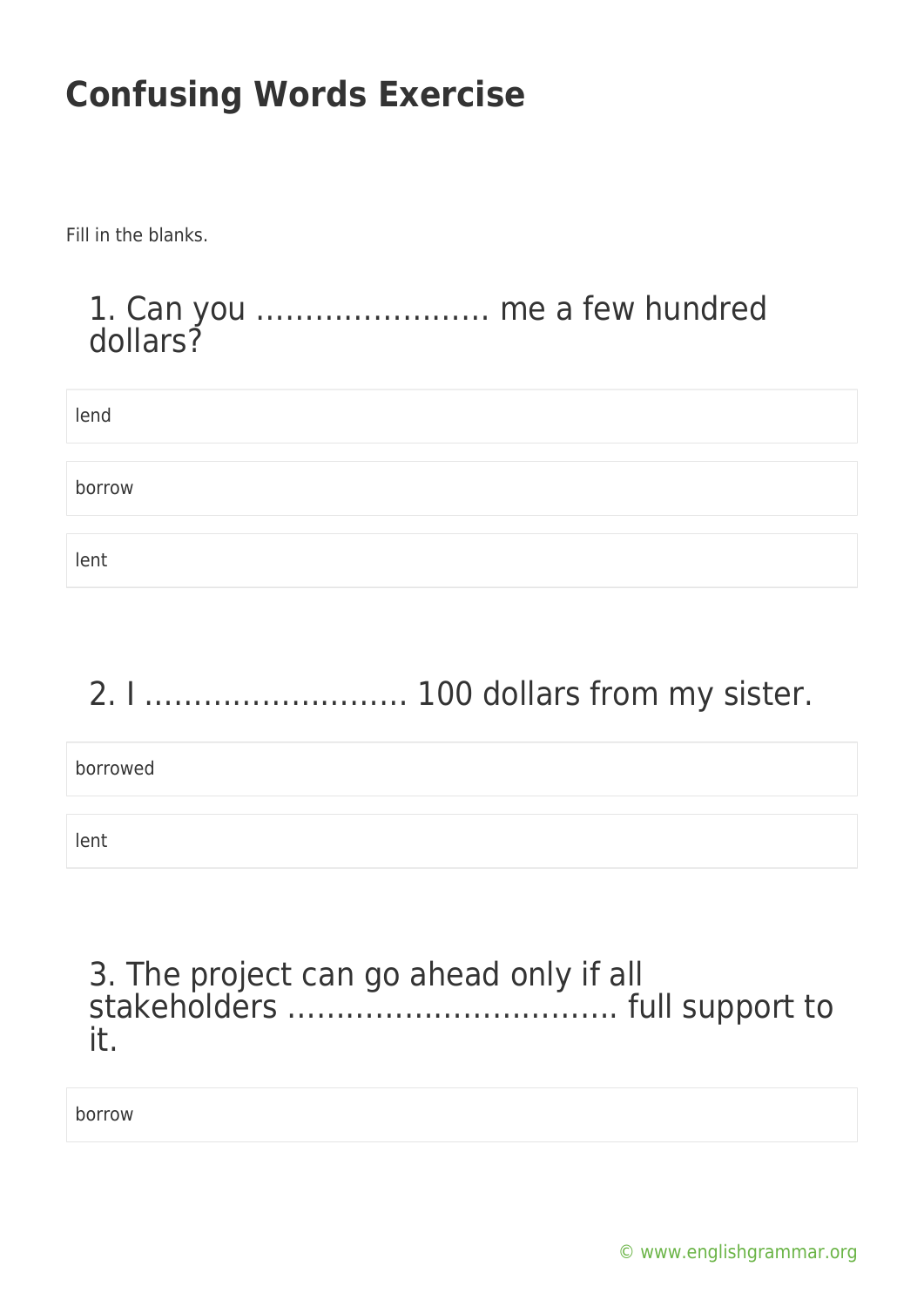Fill in the blanks.

### 1. Can you …………………… me a few hundred dollars?

| lend   |  |  |
|--------|--|--|
|        |  |  |
| borrow |  |  |
|        |  |  |
| lent   |  |  |

# 2. I ……………………… 100 dollars from my sister.

borrowed

lent

#### 3. The project can go ahead only if all stakeholders ……………………………. full support to it.

borrow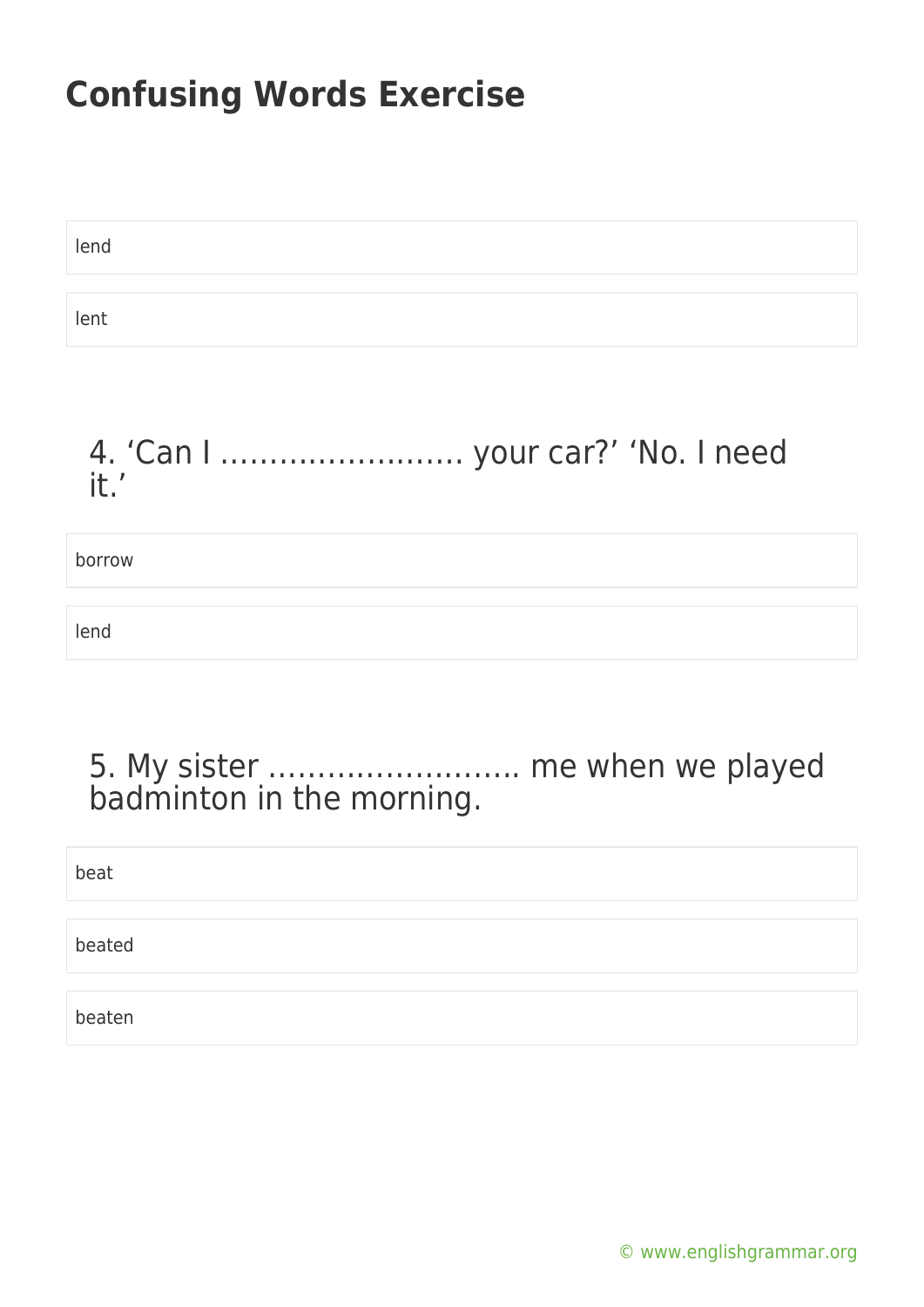lend lent

### 4. 'Can I ……………………. your car?' 'No. I need it.'

borrow

lend

### 5. My sister …………………….. me when we played badminton in the morning.

| beat   |  |
|--------|--|
|        |  |
| beated |  |
|        |  |
| beaten |  |

[© www.englishgrammar.org](https://www.englishgrammar.org/)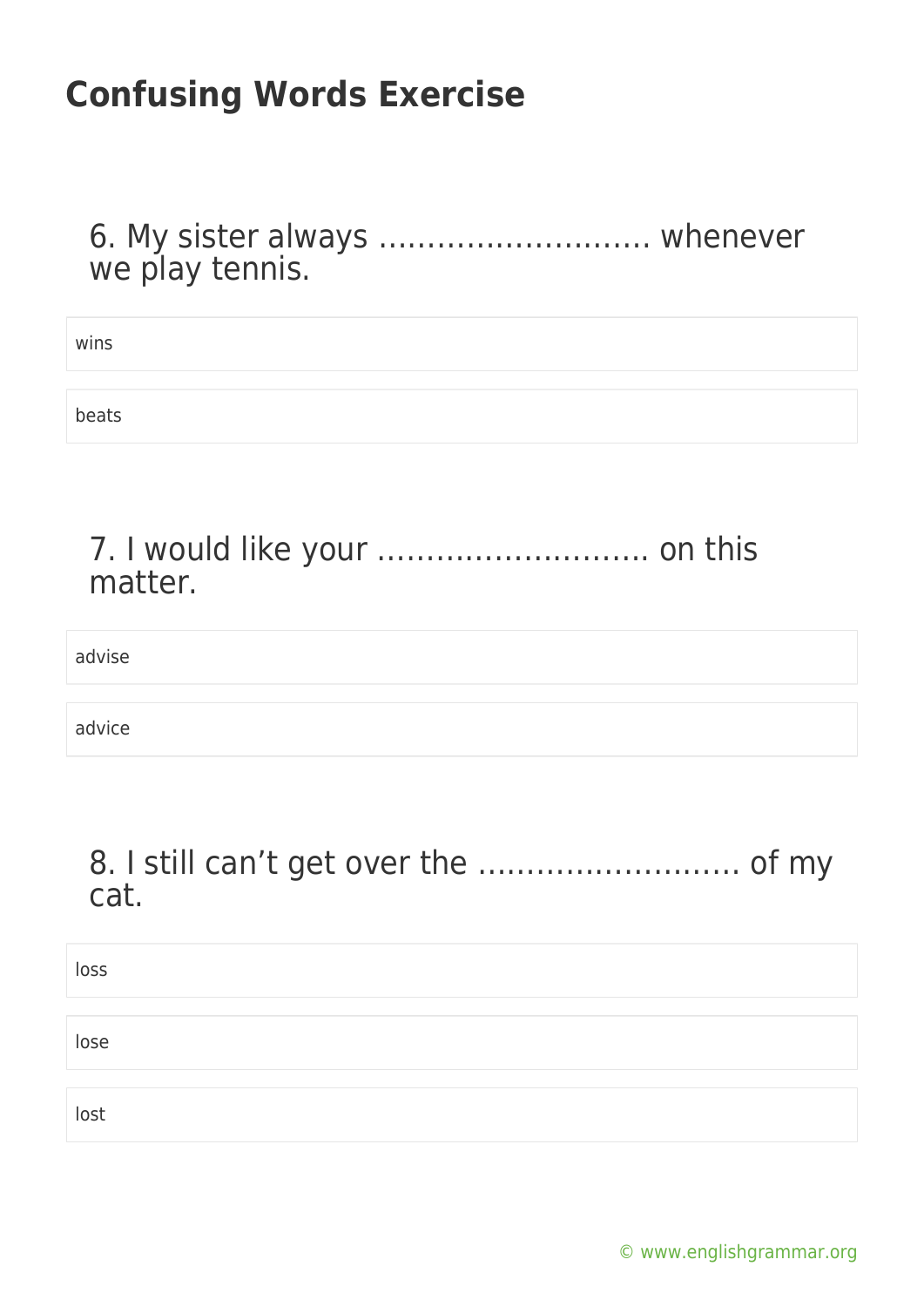6. My sister always ………………………. whenever we play tennis.

| wins  |  |
|-------|--|
|       |  |
| beats |  |

#### 7. I would like your ………………………. on this matter.

advise

advice

#### 8. I still can't get over the ……………………… of my cat.

| loss |  |  |  |
|------|--|--|--|
|      |  |  |  |
| lose |  |  |  |
|      |  |  |  |
| lost |  |  |  |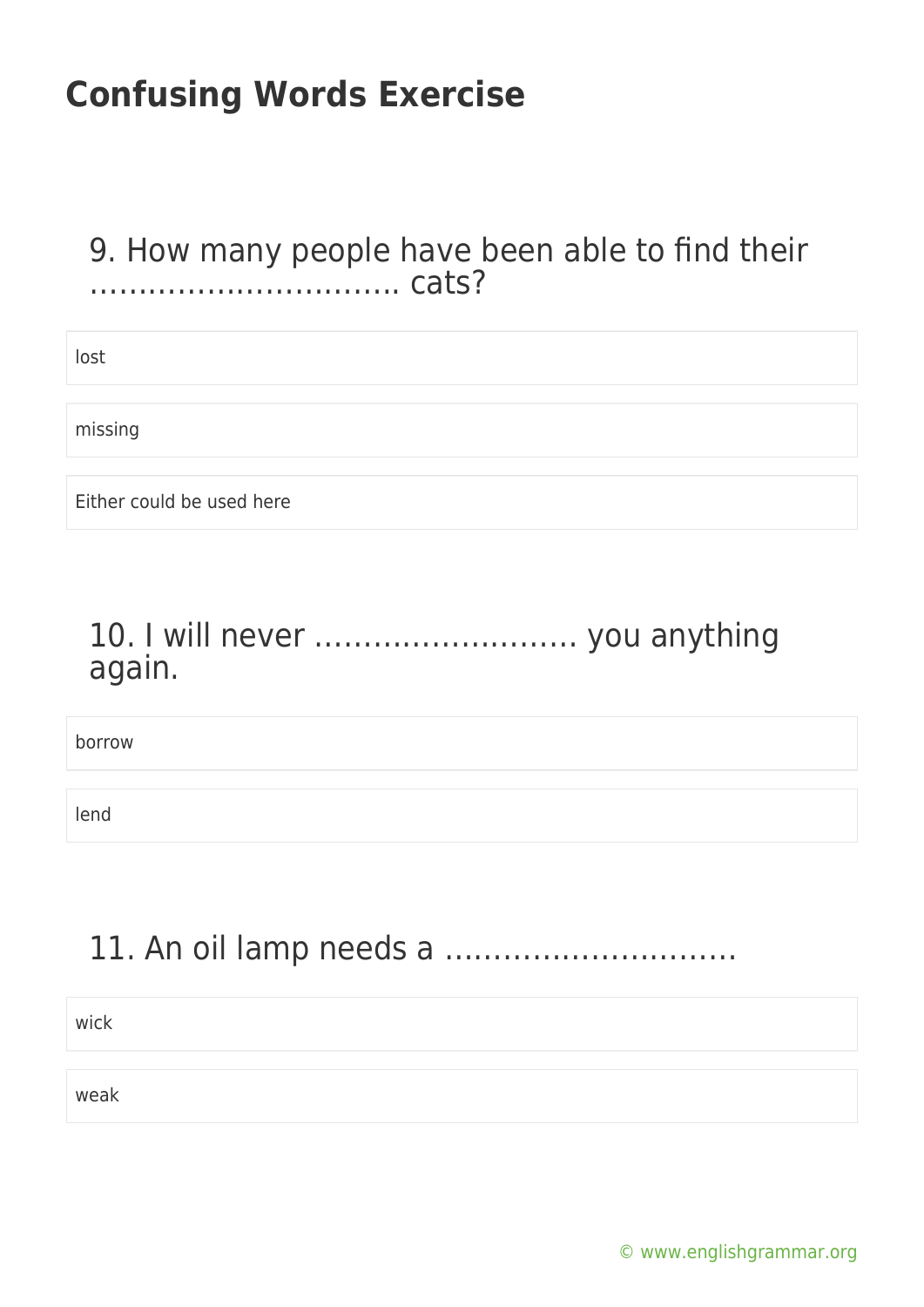#### 9. How many people have been able to find their ………………………….. cats?

lost

missing

Either could be used here

### 10. I will never ……………………… you anything again.

borrow

lend

### 11. An oil lamp needs a …………………………

wick

weak

[© www.englishgrammar.org](https://www.englishgrammar.org/)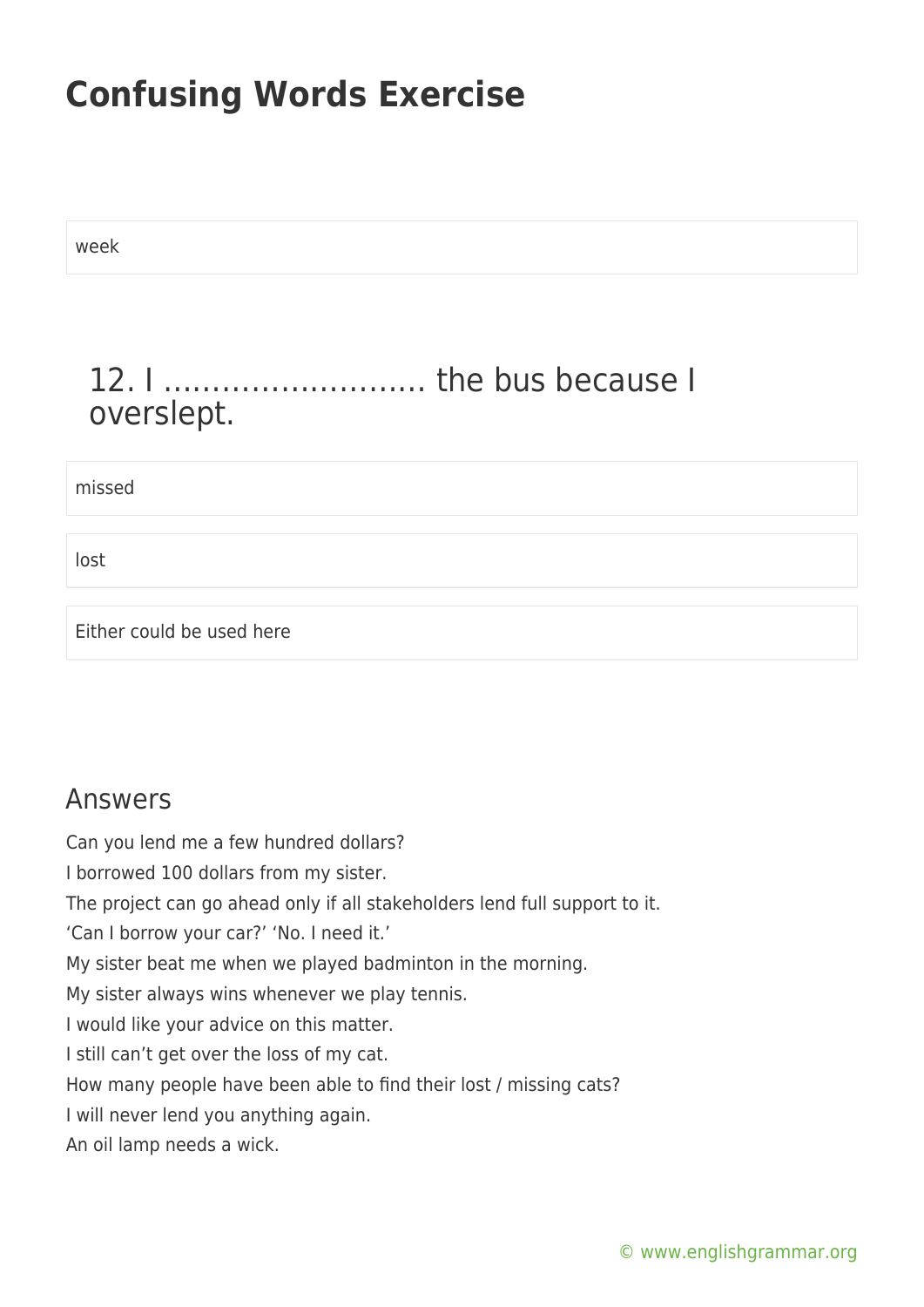week

### 12. I ……………………… the bus because I overslept.

missed

lost

Either could be used here

#### Answers

Can you lend me a few hundred dollars?

I borrowed 100 dollars from my sister.

The project can go ahead only if all stakeholders lend full support to it.

'Can I borrow your car?' 'No. I need it.'

My sister beat me when we played badminton in the morning.

My sister always wins whenever we play tennis.

I would like your advice on this matter.

I still can't get over the loss of my cat.

How many people have been able to find their lost / missing cats?

I will never lend you anything again.

An oil lamp needs a wick.